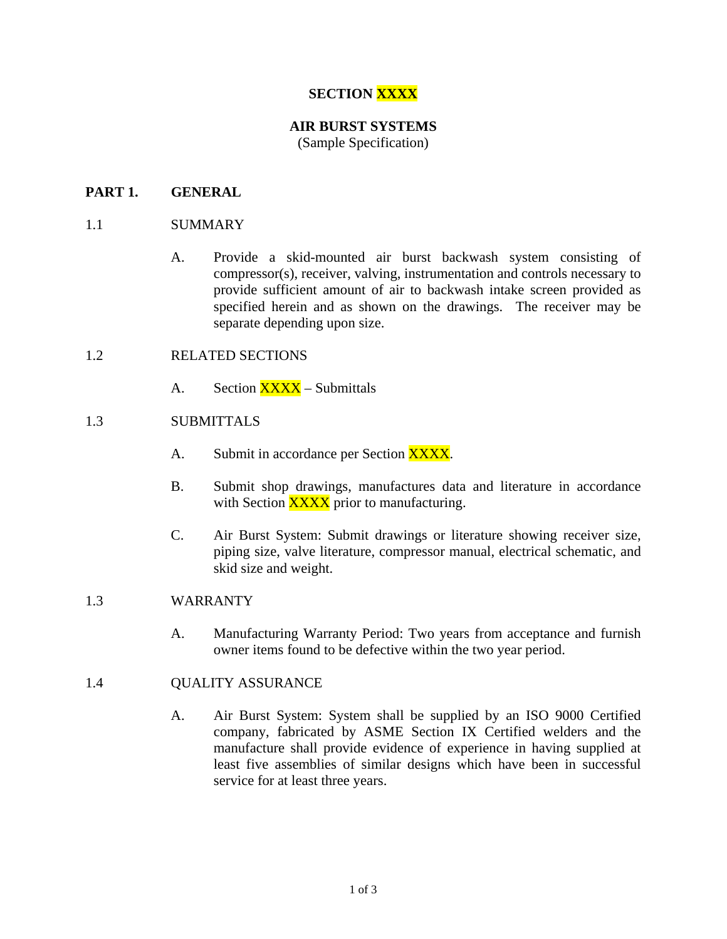# **SECTION XXXX**

# **AIR BURST SYSTEMS**

(Sample Specification)

# **PART 1. GENERAL**

## 1.1 SUMMARY

A. Provide a skid-mounted air burst backwash system consisting of compressor(s), receiver, valving, instrumentation and controls necessary to provide sufficient amount of air to backwash intake screen provided as specified herein and as shown on the drawings. The receiver may be separate depending upon size.

#### 1.2 RELATED SECTIONS

A. Section XXXX – Submittals

## 1.3 SUBMITTALS

- A. Submit in accordance per Section XXXX.
- B. Submit shop drawings, manufactures data and literature in accordance with Section **XXXX** prior to manufacturing.
- C. Air Burst System: Submit drawings or literature showing receiver size, piping size, valve literature, compressor manual, electrical schematic, and skid size and weight.

#### 1.3 WARRANTY

A. Manufacturing Warranty Period: Two years from acceptance and furnish owner items found to be defective within the two year period.

#### 1.4 QUALITY ASSURANCE

A. Air Burst System: System shall be supplied by an ISO 9000 Certified company, fabricated by ASME Section IX Certified welders and the manufacture shall provide evidence of experience in having supplied at least five assemblies of similar designs which have been in successful service for at least three years.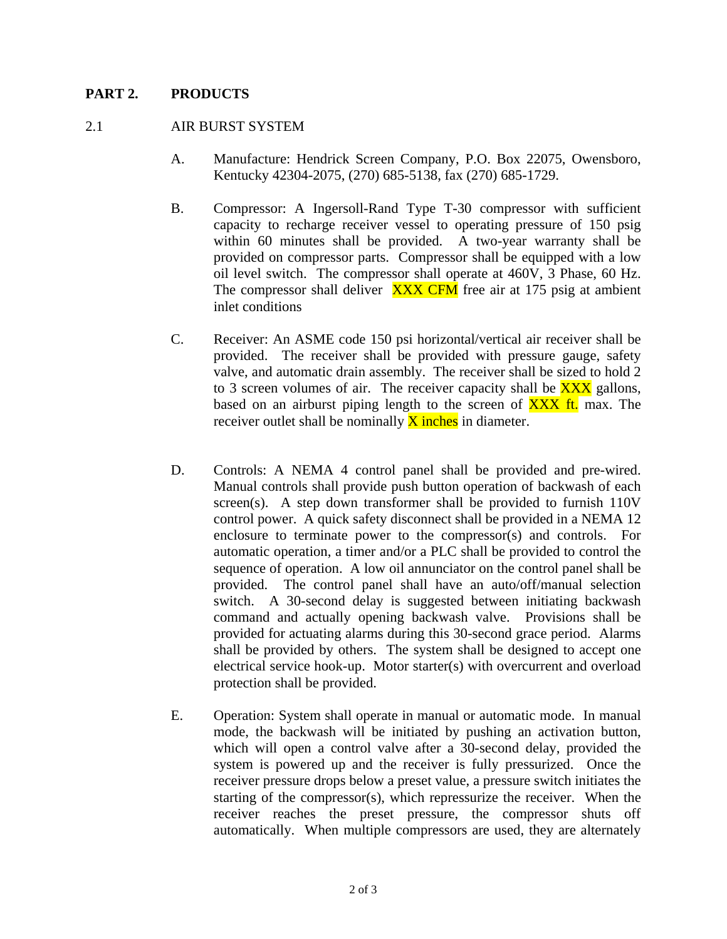## **PART 2. PRODUCTS**

#### 2.1 AIR BURST SYSTEM

- A. Manufacture: Hendrick Screen Company, P.O. Box 22075, Owensboro, Kentucky 42304-2075, (270) 685-5138, fax (270) 685-1729.
- B. Compressor: A Ingersoll-Rand Type T-30 compressor with sufficient capacity to recharge receiver vessel to operating pressure of 150 psig within 60 minutes shall be provided. A two-year warranty shall be provided on compressor parts. Compressor shall be equipped with a low oil level switch. The compressor shall operate at 460V, 3 Phase, 60 Hz. The compressor shall deliver  $\overline{XXX}$  CFM free air at 175 psig at ambient inlet conditions
- C. Receiver: An ASME code 150 psi horizontal/vertical air receiver shall be provided. The receiver shall be provided with pressure gauge, safety valve, and automatic drain assembly. The receiver shall be sized to hold 2 to 3 screen volumes of air. The receiver capacity shall be  $\overline{XXX}$  gallons, based on an airburst piping length to the screen of  $\overline{XXX}$  ft. max. The receiver outlet shall be nominally  $\bar{X}$  inches in diameter.
- D. Controls: A NEMA 4 control panel shall be provided and pre-wired. Manual controls shall provide push button operation of backwash of each screen(s). A step down transformer shall be provided to furnish 110V control power. A quick safety disconnect shall be provided in a NEMA 12 enclosure to terminate power to the compressor(s) and controls. For automatic operation, a timer and/or a PLC shall be provided to control the sequence of operation. A low oil annunciator on the control panel shall be provided. The control panel shall have an auto/off/manual selection switch. A 30-second delay is suggested between initiating backwash command and actually opening backwash valve. Provisions shall be provided for actuating alarms during this 30-second grace period. Alarms shall be provided by others. The system shall be designed to accept one electrical service hook-up. Motor starter(s) with overcurrent and overload protection shall be provided.
- E. Operation: System shall operate in manual or automatic mode. In manual mode, the backwash will be initiated by pushing an activation button, which will open a control valve after a 30-second delay, provided the system is powered up and the receiver is fully pressurized. Once the receiver pressure drops below a preset value, a pressure switch initiates the starting of the compressor(s), which repressurize the receiver. When the receiver reaches the preset pressure, the compressor shuts off automatically. When multiple compressors are used, they are alternately